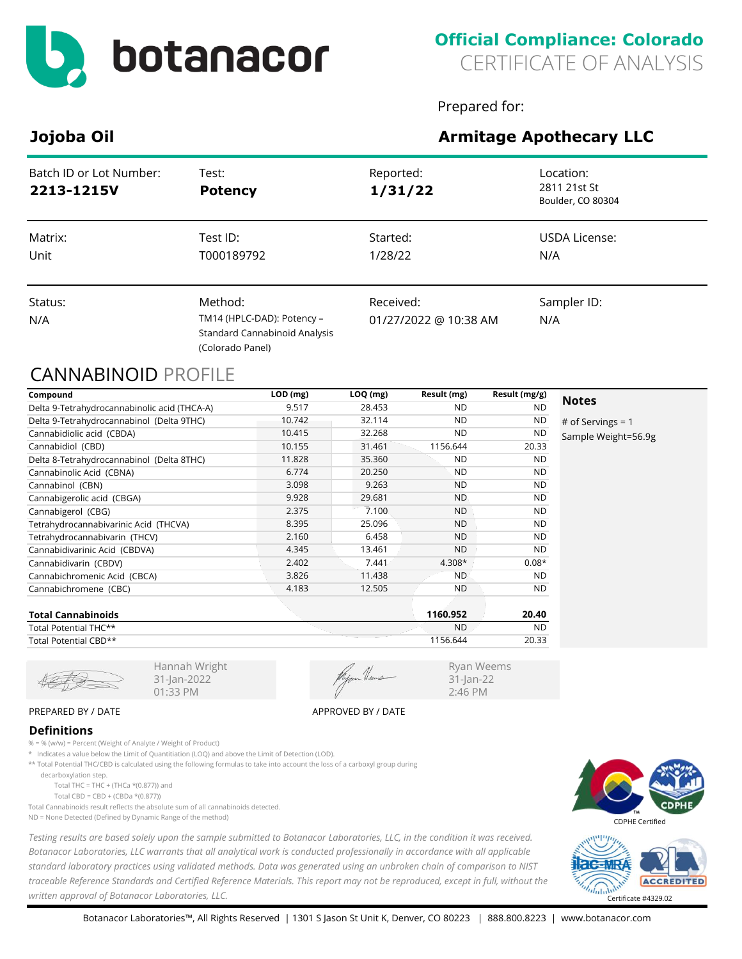

Prepared for:

Ryan Weems 31-Jan-22 2:46 PM

# **Jojoba Oil Armitage Apothecary LLC**

| Batch ID or Lot Number:<br>2213-1215V | Test:<br><b>Potency</b>                                                                           | Reported:<br>1/31/22               | Location:<br>2811 21st St<br>Boulder, CO 80304 |
|---------------------------------------|---------------------------------------------------------------------------------------------------|------------------------------------|------------------------------------------------|
| Matrix:<br>Unit                       | Test ID:<br>T000189792                                                                            | Started:<br>1/28/22                | <b>USDA License:</b><br>N/A                    |
| Status:<br>N/A                        | Method:<br>TM14 (HPLC-DAD): Potency -<br><b>Standard Cannabinoid Analysis</b><br>(Colorado Panel) | Received:<br>01/27/2022 @ 10:38 AM | Sampler ID:<br>N/A                             |

## CANNABINOID PROFILE

| Compound                                     | $LOD$ (mg) | LOQ (mg) | Result (mg) | Result (mg/g) | <b>Notes</b>        |
|----------------------------------------------|------------|----------|-------------|---------------|---------------------|
| Delta 9-Tetrahydrocannabinolic acid (THCA-A) | 9.517      | 28.453   | <b>ND</b>   | <b>ND</b>     |                     |
| Delta 9-Tetrahydrocannabinol (Delta 9THC)    | 10.742     | 32.114   | <b>ND</b>   | <b>ND</b>     | # of Servings = $1$ |
| Cannabidiolic acid (CBDA)                    | 10.415     | 32.268   | <b>ND</b>   | <b>ND</b>     | Sample Weight=56.9g |
| Cannabidiol (CBD)                            | 10.155     | 31.461   | 1156.644    | 20.33         |                     |
| Delta 8-Tetrahydrocannabinol (Delta 8THC)    | 11.828     | 35.360   | <b>ND</b>   | <b>ND</b>     |                     |
| Cannabinolic Acid (CBNA)                     | 6.774      | 20.250   | <b>ND</b>   | <b>ND</b>     |                     |
| Cannabinol (CBN)                             | 3.098      | 9.263    | <b>ND</b>   | <b>ND</b>     |                     |
| Cannabigerolic acid (CBGA)                   | 9.928      | 29.681   | <b>ND</b>   | <b>ND</b>     |                     |
| Cannabigerol (CBG)                           | 2.375      | 7.100    | <b>ND</b>   | <b>ND</b>     |                     |
| Tetrahydrocannabivarinic Acid (THCVA)        | 8.395      | 25.096   | <b>ND</b>   | <b>ND</b>     |                     |
| Tetrahydrocannabivarin (THCV)                | 2.160      | 6.458    | <b>ND</b>   | <b>ND</b>     |                     |
| Cannabidivarinic Acid (CBDVA)                | 4.345      | 13.461   | <b>ND</b>   | ND.           |                     |
| Cannabidivarin (CBDV)                        | 2.402      | 7.441    | $4.308*$    | $0.08*$       |                     |
| Cannabichromenic Acid (CBCA)                 | 3.826      | 11.438   | <b>ND</b>   | <b>ND</b>     |                     |
| Cannabichromene (CBC)                        | 4.183      | 12.505   | <b>ND</b>   | <b>ND</b>     |                     |
|                                              |            |          |             |               |                     |

| <b>Total Cannabinoids</b> | 1160.952  | 20.40     |
|---------------------------|-----------|-----------|
| Total Potential THC**     | <b>ND</b> | <b>ND</b> |
| Total Potential CBD**     | 1156.644  | 20.33     |

31-Jan-2022 01:33 PM

#### PREPARED BY / DATE APPROVED BY / DATE

#### **Definitions**

% = % (w/w) = Percent (Weight of Analyte / Weight of Product)

\* Indicates a value below the Limit of Quantitiation (LOQ) and above the Limit of Detection (LOD).

Hannah Wright

\*\* Total Potential THC/CBD is calculated using the following formulas to take into account the loss of a carboxyl group during

decarboxylation step.

Total THC = THC + (THCa  $*(0.877)$ ) and

Total CBD = CBD + (CBDa \*(0.877))

Total Cannabinoids result reflects the absolute sum of all cannabinoids detected. ND = None Detected (Defined by Dynamic Range of the method)

*Testing results are based solely upon the sample submitted to Botanacor Laboratories, LLC, in the condition it was received. Botanacor Laboratories, LLC warrants that all analytical work is conducted professionally in accordance with all applicable standard laboratory practices using validated methods. Data was generated using an unbroken chain of comparison to NIST traceable Reference Standards and Certified Reference Materials. This report may not be reproduced, except in full, without the written approval of Botanacor Laboratories, LLC.* Certificate #4329.02